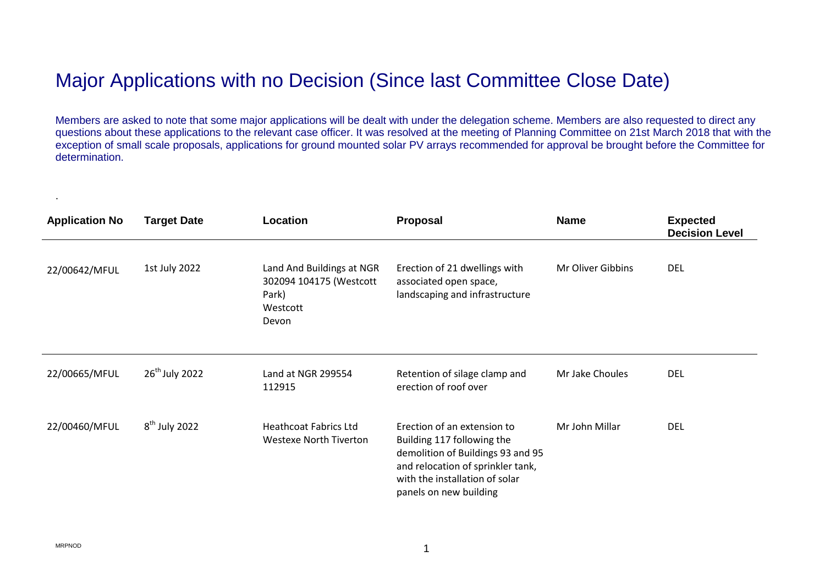## Major Applications with no Decision (Since last Committee Close Date)

Members are asked to note that some major applications will be dealt with under the delegation scheme. Members are also requested to direct any questions about these applications to the relevant case officer. It was resolved at the meeting of Planning Committee on 21st March 2018 that with the exception of small scale proposals, applications for ground mounted solar PV arrays recommended for approval be brought before the Committee for determination.

| <b>Application No</b> | <b>Target Date</b> | Location                                                                           | Proposal                                                                                                                                                                                        | <b>Name</b>       | <b>Expected</b><br><b>Decision Level</b> |
|-----------------------|--------------------|------------------------------------------------------------------------------------|-------------------------------------------------------------------------------------------------------------------------------------------------------------------------------------------------|-------------------|------------------------------------------|
| 22/00642/MFUL         | 1st July 2022      | Land And Buildings at NGR<br>302094 104175 (Westcott<br>Park)<br>Westcott<br>Devon | Erection of 21 dwellings with<br>associated open space,<br>landscaping and infrastructure                                                                                                       | Mr Oliver Gibbins | <b>DEL</b>                               |
| 22/00665/MFUL         | $26th$ July 2022   | Land at NGR 299554<br>112915                                                       | Retention of silage clamp and<br>erection of roof over                                                                                                                                          | Mr Jake Choules   | <b>DEL</b>                               |
| 22/00460/MFUL         | $8th$ July 2022    | <b>Heathcoat Fabrics Ltd</b><br><b>Westexe North Tiverton</b>                      | Erection of an extension to<br>Building 117 following the<br>demolition of Buildings 93 and 95<br>and relocation of sprinkler tank,<br>with the installation of solar<br>panels on new building | Mr John Millar    | <b>DEL</b>                               |

.